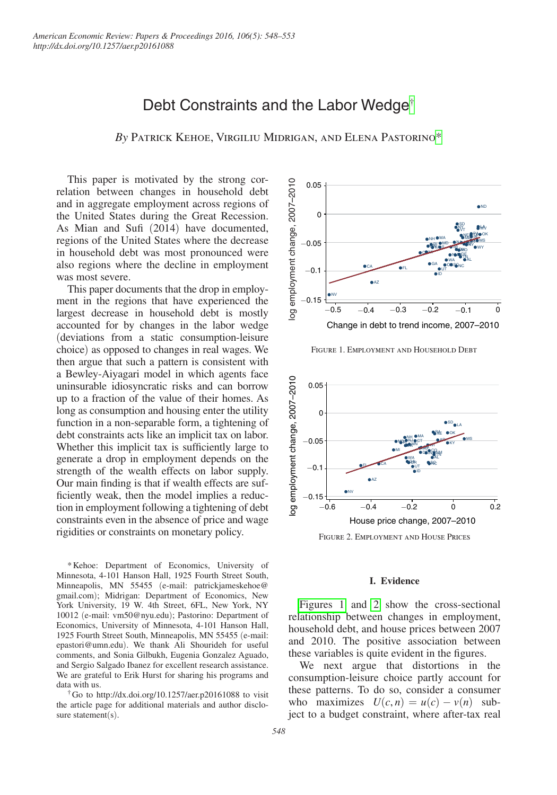# Debt Constraints and the Labor Wedge[†](#page-0-0)

*By* Patrick Kehoe, Virgiliu Midrigan, and Elena Pastorin[o\\*](#page-0-1)

This paper is motivated by the strong correlation between changes in household debt and in aggregate employment across regions of the United States during the Great Recession. As Mian and Sufi (2014) have documented, regions of the United States where the decrease in household debt was most pronounced were also regions where the decline in employment was most severe.

This paper documents that the drop in employment in the regions that have experienced the largest decrease in household debt is mostly accounted for by changes in the labor wedge (deviations from a static consumption-leisure choice) as opposed to changes in real wages. We then argue that such a pattern is consistent with a Bewley-Aiyagari model in which agents face uninsurable idiosyncratic risks and can borrow up to a fraction of the value of their homes. As long as consumption and housing enter the utility function in a non-separable form, a tightening of debt constraints acts like an implicit tax on labor. Whether this implicit tax is sufficiently large to generate a drop in employment depends on the strength of the wealth effects on labor supply. Our main finding is that if wealth effects are sufficiently weak, then the model implies a reduction in employment following a tightening of debt constraints even in the absence of price and wage rigidities or constraints on monetary policy.

<span id="page-0-1"></span>\*Kehoe: Department of Economics, University of Minnesota, 4-101 Hanson Hall, 1925 Fourth Street South, Minneapolis, MN 55455 (e-mail: patrickjameskehoe@ gmail.com); Midrigan: Department of Economics, New York University, 19 W. 4th Street, 6FL, New York, NY 10012 (e-mail: vm50@nyu.edu); Pastorino: Department of Economics, University of Minnesota, 4-101 Hanson Hall, 1925 Fourth Street South, Minneapolis, MN 55455 (e-mail: epastori@umn.edu). We thank Ali Shourideh for useful comments, and Sonia Gilbukh, Eugenia Gonzalez Aguado, and Sergio Salgado Ibanez for excellent research assistance. We are grateful to Erik Hurst for sharing his programs and data with us.

<span id="page-0-0"></span>†Go to http://dx.doi.org/10.1257/aer.p20161088 to visit the article page for additional materials and author disclosure statement(s).



Figure 1. Employment and Household Debt



#### **I. Evidence**

Figures 1 and 2 show the cross-sectional relationship between changes in employment, household debt, and house prices between 2007 and 2010. The positive association between these variables is quite evident in the figures.

We next argue that distortions in the consumption-leisure choice partly account for these patterns. To do so, consider a consumer who maximizes  $U(c, n) = u(c) - v(n)$  subject to a budget constraint, where after-tax real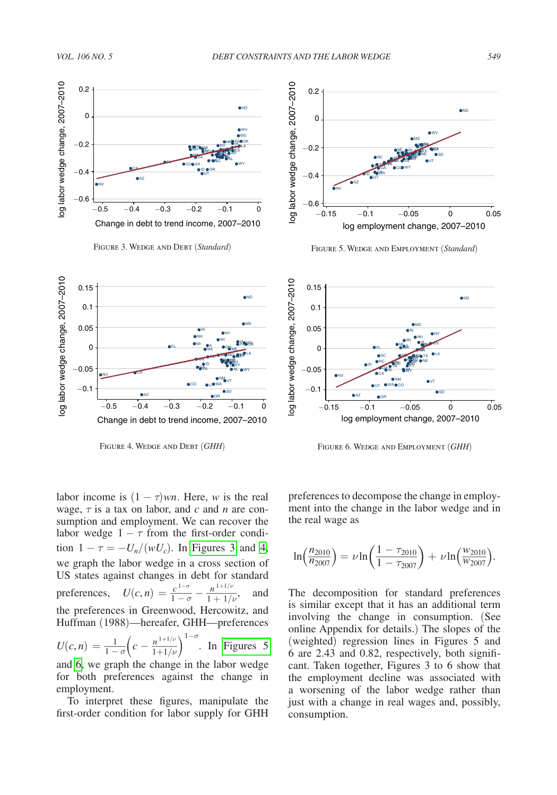



Figure 4. Wedge and Debt (*GHH*)



Figure 5. Wedge and Employment (*Standard*)



Figure 6. Wedge and Employment (*GHH*)

labor income is  $(1 - \tau)$ *wn*. Here, *w* is the real wage, τ is a tax on labor, and *c* and *n* are consumption and employment. We can recover the labor wedge  $1 - \tau$  from the first-order condition  $1 - \tau = -U_n/(wU_c)$ . In Figures 3 and 4, we graph the labor wedge in a cross section of US states against changes in debt for standard we graph the labor wedge in a<br>US states against changes in open-<br>preferences,  $U(c, n) = \frac{c^{1-\sigma}}{1-\sigma}$  $1-\sigma$ 1 In Figures 3<br>
1 in a cross secs<br>
1 in debt for st<br>  $\frac{c^{1-\sigma}}{1-\sigma} - \frac{n^{1+1/\nu}}{1+1/\nu}$  $\frac{n^{1+1/\nu}}{1+1/\nu}$ , and the preferences in Greenwood, Hercowitz, and Huffman (1988)—hereafer, GHH—preferences the preferences in Greenw<br> *Huffman* (1988)—hereafer<br>  $U(c, n) = \frac{1}{1 - \sigma} \left( c - \frac{n^{1 + 1/\nu}}{1 + 1/\nu} \right)$  $1+1/\nu$  $\frac{1+1}{\nu}$ 1−σ . In Figures 5 and 6, we graph the change in the labor wedge for both preferences against the change in employment.

To interpret these figures, manipulate the first-order condition for labor supply for GHH

preferences to decompose the change in employment into the change in the labor wedge and in the real wage as mpose the 1<br>
<u>t</u>e in the 1<br>  $\frac{1 - \tau_{2010}}{1 - \tau_{2007}}$ 

he real wage as  
\n
$$
\ln\left(\frac{n_{2010}}{n_{2007}}\right) = \nu \ln\left(\frac{1 - \tau_{2010}}{1 - \tau_{2007}}\right) + \nu \ln\left(\frac{w_{2010}}{w_{2007}}\right).
$$

The decomposition for standard preferences is similar except that it has an additional term involving the change in consumption. (See online Appendix for details.) The slopes of the (weighted) regression lines in Figures 5 and 6 are 2.43 and 0.82, respectively, both significant. Taken together, Figures 3 to 6 show that the employment decline was associated with a worsening of the labor wedge rather than just with a change in real wages and, possibly, consumption.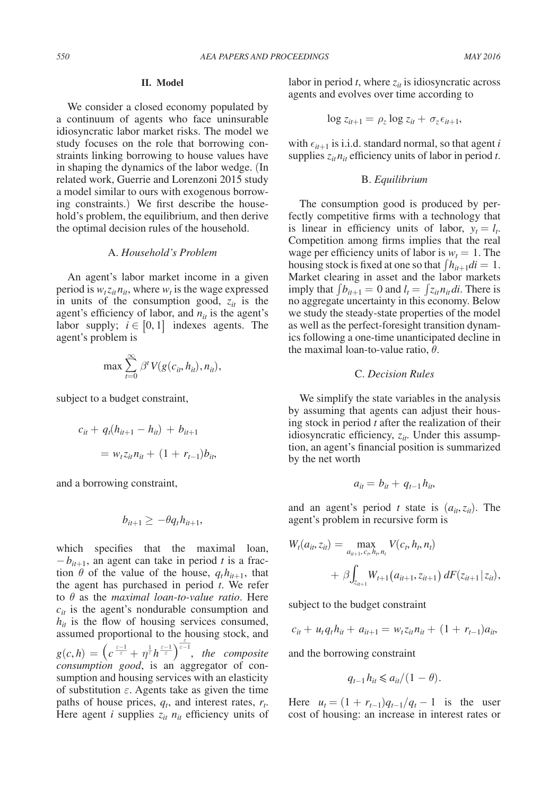#### **II. Model**

We consider a closed economy populated by a continuum of agents who face uninsurable idiosyncratic labor market risks. The model we study focuses on the role that borrowing constraints linking borrowing to house values have in shaping the dynamics of the labor wedge. (In related work, Guerrie and Lorenzoni 2015 study a model similar to ours with exogenous borrowing constraints.) We first describe the household's problem, the equilibrium, and then derive the optimal decision rules of the household.

## A. *Household's Problem*

An agent's labor market income in a given period is  $w_t z_{it} n_{it}$ , where  $w_t$  is the wage expressed in units of the consumption good,  $z_{it}$  is the agent's efficiency of labor, and  $n_{it}$  is the agent's labor supply;  $i \in [0, 1]$  indexes agents. The agent's problem is

$$
\max \sum_{t=0}^{\infty} \beta^t V(g(c_{it}, h_{it}), n_{it}),
$$

subject to a budget constraint,

$$
c_{it} + q_t(h_{it+1} - h_{it}) + b_{it+1}
$$
  
=  $w_t z_{it} n_{it} + (1 + r_{t-1}) b_{it}$ 

and a borrowing constraint,

$$
b_{it+1} \geq -\theta q_t h_{it+1},
$$

which specifies that the maximal loan,  $-b_{it+1}$ , an agent can take in period *t* is a fraction  $\theta$  of the value of the house,  $q_t h_{t+1}$ , that the agent has purchased in period *t*. We refer to θ as the *maximal loan-to-value ratio*. Here  $c_{it}$  is the agent's nondurable consumption and  $h_{it}$  is the flow of housing services consumed,  $a_n$  is the hold to the housing stock, and  $\sum_{n=1}^{\infty}$ assumed proportional to the hotel<br>  $g(c, h) = \left(c \frac{\varepsilon - 1}{\varepsilon} + \eta^{\frac{1}{\varepsilon}} h^{\frac{\varepsilon - 1}{\varepsilon}}\right)^{\frac{\varepsilon}{\varepsilon - 1}}$ , *the composite consumption good*, is an aggregator of consumption and housing services with an elasticity of substitution  $\varepsilon$ . Agents take as given the time paths of house prices,  $q_t$ , and interest rates,  $r_t$ . Here agent *i* supplies  $z_{it}$   $n_{it}$  efficiency units of

labor in period  $t$ , where  $z_{it}$  is idiosyncratic across agents and evolves over time according to

$$
\log z_{it+1} = \rho_z \log z_{it} + \sigma_z \epsilon_{it+1},
$$

with  $\epsilon_{it+1}$  is i.i.d. standard normal, so that agent *i* supplies  $z_{it}n_{it}$  efficiency units of labor in period *t*.

## B. *Equilibrium*

The consumption good is produced by perfectly competitive firms with a technology that is linear in efficiency units of labor,  $y_t = l_t$ . Competition among firms implies that the real wage per efficiency units of labor is  $w_t = 1$ . The housing stock is fixed at one so that  $\int h_{it+1}di = 1$ . Market clearing in asset and the labor markets imply that  $\int b_{it+1} = 0$  and  $l_t = \int z_{it} n_{it} dt$ . There is no aggregate uncertainty in this economy. Below we study the steady-state properties of the model as well as the perfect-foresight transition dynamics following a one-time unanticipated decline in the maximal loan-to-value ratio,  $\theta$ .

## C. *Decision Rules*

We simplify the state variables in the analysis by assuming that agents can adjust their housing stock in period *t* after the realization of their idiosyncratic efficiency,  $z_{it}$ . Under this assumption, an agent's financial position is summarized by the net worth

$$
a_{it}=b_{it}+q_{t-1}h_{it},
$$

and an agent's period *t* state is  $(a_{it}, z_{it})$ . The agent's problem in recursive form is

$$
W_t(a_{it}, z_{it}) = \max_{a_{it+1}, c_t, h_t, n_t} V(c_t, h_t, n_t)
$$
  
+  $\beta \int_{z_{it+1}} W_{t+1}(a_{it+1}, z_{it+1}) dF(z_{it+1} | z_{it}),$ 

subject to the budget constraint

$$
c_{it} + u_t q_t h_{it} + a_{it+1} = w_t z_{it} n_{it} + (1 + r_{t-1}) a_{it},
$$

and the borrowing constraint

$$
q_{t-1}h_{it} \leq a_{it}/(1-\theta).
$$

Here  $u_t = (1 + r_{t-1})q_{t-1}/q_t - 1$  is the user cost of housing: an increase in interest rates or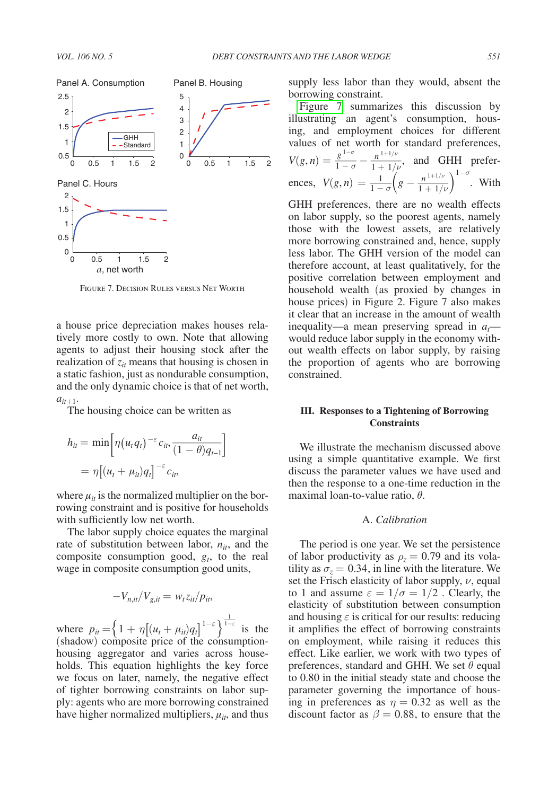

Figure 7. Decision Rules versus Net Worth

a house price depreciation makes houses relatively more costly to own. Note that allowing agents to adjust their housing stock after the realization of  $z_{it}$  means that housing is chosen in a static fashion, just as nondurable consumption,<br>and the only dynamic choice is that of net worth,<br> $a_{it+1}$ .<br>The housing choice can be written as<br> $h_{it} = \min \left[ \eta (u_t q_t)^{-\epsilon} c_{it}, \frac{a_{it}}{(1-\theta)q_{t-1}} \right]$ and the only dynamic choice is that of net worth,  $a_{it+1}$ .

The housing choice can be written as

$$
h_{it} = \min \left[ \eta(u_t q_t)^{-\varepsilon} c_{it}, \frac{a_{it}}{(1-\theta)q_{t-1}} \right]
$$
  
= 
$$
\eta \left[ (u_t + \mu_{it}) q_t \right]^{-\varepsilon} c_{it},
$$

where  $\mu_{it}$  is the normalized multiplier on the borrowing constraint and is positive for households with sufficiently low net worth.

The labor supply choice equates the marginal rate of substitution between labor,  $n_{it}$ , and the composite consumption good,  $g_t$ , to the real wage in composite consumption good units,

$$
-V_{n,it}/V_{g,it} = w_t z_{it}/p_{it},
$$

where  $p_{it} = \left\{ 1 + \eta \left[ (u_t + \mu_{it}) q_t \right]^{1-\epsilon} \right\}$  $\frac{1}{1-\epsilon}$  $1-\varepsilon$  is the (shadow) composite price of the consumptionhousing aggregator and varies across households. This equation highlights the key force we focus on later, namely, the negative effect of tighter borrowing constraints on labor supply: agents who are more borrowing constrained have higher normalized multipliers,  $\mu_{it}$ , and thus supply less labor than they would, absent the borrowing constraint.

Figure 7 summarizes this discussion by illustrating an agent's consumption, housing, and employment choices for different values of net worth for standard preferences, ing, and emp<br>values of net<br> $V(g, n) = \frac{g^{1-\sigma}}{1-\sigma}$  $1-\sigma$ the amployment<br>
net worth for<br>  $\frac{g^{1-\sigma}}{1-\sigma} - \frac{n^{1+1/\nu}}{1+1/\nu}$ values of net worth for standard preferences,<br>  $V(g, n) = \frac{g^{1-\sigma}}{1-\sigma} - \frac{n^{1+1/\nu}}{1+1/\nu}$ , and GHH prefer-<br>
ences,  $V(g, n) = \frac{1}{1-\sigma} \left( g - \frac{n^{1+1/\nu}}{1+1/\nu} \right)^{1-\sigma}$ . With  $1+1/\nu$  $\frac{1 + 1/\nu}{\nu}$  $1-\sigma$ . With

GHH preferences, there are no wealth effects on labor supply, so the poorest agents, namely those with the lowest assets, are relatively more borrowing constrained and, hence, supply less labor. The GHH version of the model can therefore account, at least qualitatively, for the positive correlation between employment and household wealth (as proxied by changes in house prices) in Figure 2. Figure 7 also makes it clear that an increase in the amount of wealth inequality—a mean preserving spread in  $a_t$  would reduce labor supply in the economy without wealth effects on labor supply, by raising the proportion of agents who are borrowing constrained.

## **III. Responses to a Tightening of Borrowing Constraints**

We illustrate the mechanism discussed above using a simple quantitative example. We first discuss the parameter values we have used and then the response to a one-time reduction in the maximal loan-to-value ratio,  $\theta$ .

## A. *Calibration*

The period is one year. We set the persistence of labor productivity as  $\rho_z = 0.79$  and its volatility as  $\sigma_z = 0.34$ , in line with the literature. We set the Frisch elasticity of labor supply,  $\nu$ , equal to 1 and assume  $\varepsilon = 1/\sigma = 1/2$ . Clearly, the elasticity of substitution between consumption and housing  $\varepsilon$  is critical for our results: reducing it amplifies the effect of borrowing constraints on employment, while raising it reduces this effect. Like earlier, we work with two types of preferences, standard and GHH. We set  $\theta$  equal to 0.80 in the initial steady state and choose the parameter governing the importance of housing in preferences as  $\eta = 0.32$  as well as the discount factor as  $\beta = 0.88$ , to ensure that the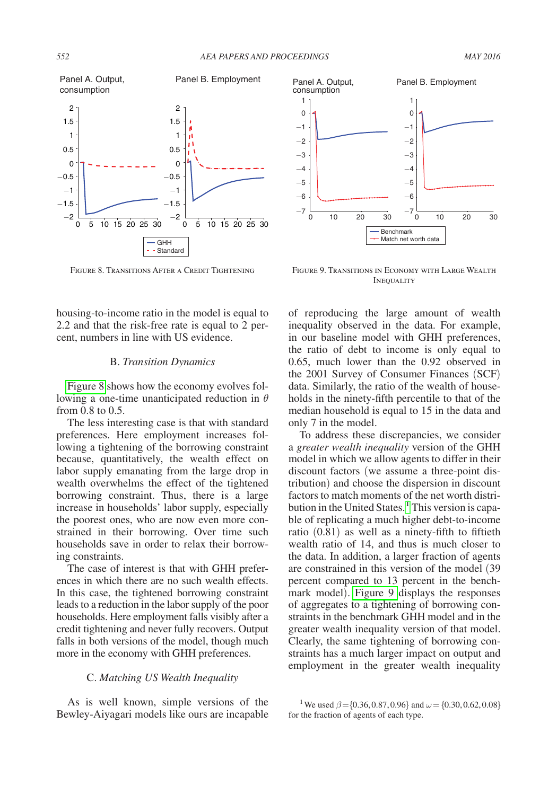

Figure 8. Transitions After a Credit Tightening

housing-to-income ratio in the model is equal to 2.2 and that the risk-free rate is equal to 2 percent, numbers in line with US evidence.

#### B. *Transition Dynamics*

Figure 8 shows how the economy evolves following a one-time unanticipated reduction in  $\theta$ from 0.8 to 0.5.

The less interesting case is that with standard preferences. Here employment increases following a tightening of the borrowing constraint because, quantitatively, the wealth effect on labor supply emanating from the large drop in wealth overwhelms the effect of the tightened borrowing constraint. Thus, there is a large increase in households' labor supply, especially the poorest ones, who are now even more constrained in their borrowing. Over time such households save in order to relax their borrowing constraints.

The case of interest is that with GHH preferences in which there are no such wealth effects. In this case, the tightened borrowing constraint leads to a reduction in the labor supply of the poor households. Here employment falls visibly after a credit tightening and never fully recovers. Output falls in both versions of the model, though much more in the economy with GHH preferences.

#### C. *Matching US Wealth Inequality*

As is well known, simple versions of the Bewley-Aiyagari models like ours are incapable



Figure 9. Transitions in Economy with Large Wealth **INEQUALITY** 

of reproducing the large amount of wealth inequality observed in the data. For example, in our baseline model with GHH preferences, the ratio of debt to income is only equal to 0.65, much lower than the 0.92 observed in the 2001 Survey of Consumer Finances (SCF) data. Similarly, the ratio of the wealth of households in the ninety-fifth percentile to that of the median household is equal to 15 in the data and only 7 in the model.

To address these discrepancies, we consider a *greater wealth inequality* version of the GHH model in which we allow agents to differ in their discount factors (we assume a three-point distribution) and choose the dispersion in discount factors to match moments of the net worth distri-bution in the United States.<sup>[1](#page-4-0)</sup> This version is capable of replicating a much higher debt-to-income ratio (0.81) as well as a ninety-fifth to fiftieth wealth ratio of 14, and thus is much closer to the data. In addition, a larger fraction of agents are constrained in this version of the model (39 percent compared to 13 percent in the benchmark model). Figure 9 displays the responses of aggregates to a tightening of borrowing constraints in the benchmark GHH model and in the greater wealth inequality version of that model. Clearly, the same tightening of borrowing constraints has a much larger impact on output and employment in the greater wealth inequality

<span id="page-4-0"></span><sup>&</sup>lt;sup>1</sup>We used  $\beta$ ={0.36,0.87,0.96} and  $\omega$  = {0.30,0.62,0.08} for the fraction of agents of each type.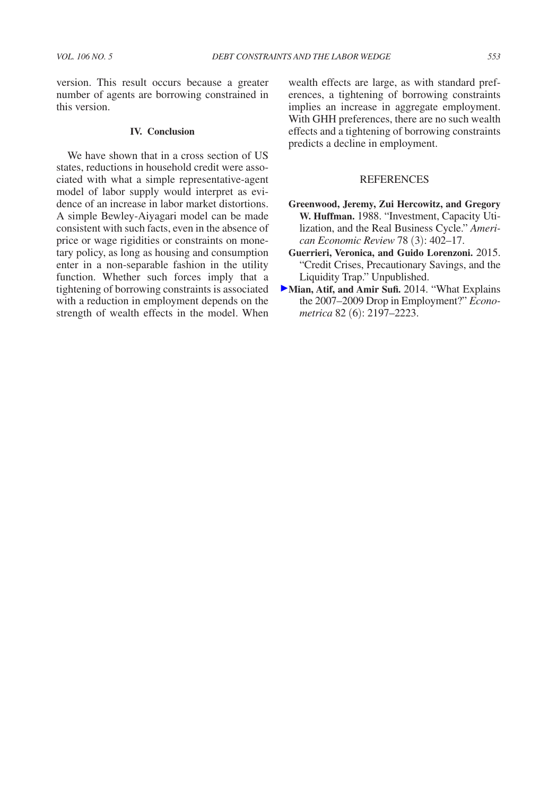version. This result occurs because a greater number of agents are borrowing constrained in this version.

## **IV. Conclusion**

We have shown that in a cross section of US states, reductions in household credit were associated with what a simple representative-agent model of labor supply would interpret as evidence of an increase in labor market distortions. A simple Bewley-Aiyagari model can be made consistent with such facts, even in the absence of price or wage rigidities or constraints on monetary policy, as long as housing and consumption enter in a non-separable fashion in the utility function. Whether such forces imply that a tightening of borrowing constraints is associated with a reduction in employment depends on the strength of wealth effects in the model. When

wealth effects are large, as with standard preferences, a tightening of borrowing constraints implies an increase in aggregate employment. With GHH preferences, there are no such wealth effects and a tightening of borrowing constraints predicts a decline in employment.

#### **REFERENCES**

- **Greenwood, Jeremy, Zui Hercowitz, and Gregory W. Huffman.** 1988. "Investment, Capacity Utilization, and the Real Business Cycle." *American Economic Review* 78 (3): 402–17.
- **Guerrieri, Veronica, and Guido Lorenzoni.** 2015. "Credit Crises, Precautionary Savings, and the Liquidity Trap." Unpublished.
- Mian, Atif, and Amir Sufi. 2014. "What Explains the 2007–2009 Drop in Employment?" *Econometrica* 82 (6): 2197–2223.